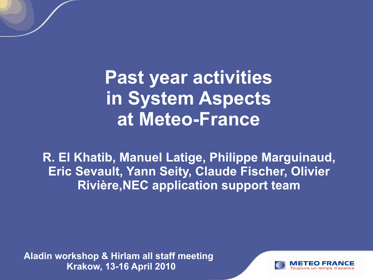**Past year activities in System Aspects at Meteo-France**

**R. El Khatib, Manuel Latige, Philippe Marguinaud, Eric Sevault, Yann Seity, Claude Fischer, Olivier Rivière,NEC application support team**

**Aladin workshop & Hirlam all staff meeting Krakow, 13-16 April 2010**

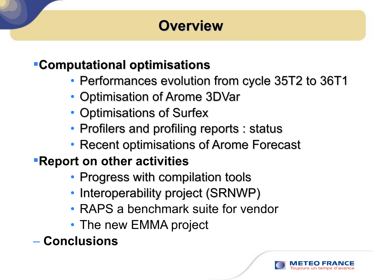# **Overview**

#### **Computational optimisations**

- Performances evolution from cycle 35T2 to 36T1
- Optimisation of Arome 3DVar
- Optimisations of Surfex
- Profilers and profiling reports : status
- Recent optimisations of Arome Forecast

### **Report on other activities**

- Progress with compilation tools
- Interoperability project (SRNWP)
- RAPS a benchmark suite for vendor
- The new EMMA project
- **Conclusions**

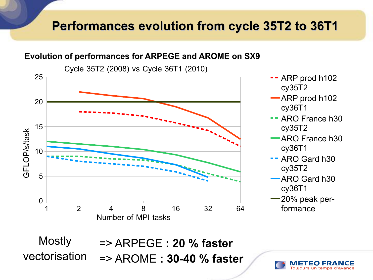#### **Performances evolution from cycle 35T2 to 36T1**

#### **Evolution of performances for ARPEGE and AROME on SX9**

Cycle 35T2 (2008) vs Cycle 36T1 (2010)



=> ARPEGE **: 20 % faster** => AROME **: 30-40 % faster** Mostly vectorisation

Toujours un temps d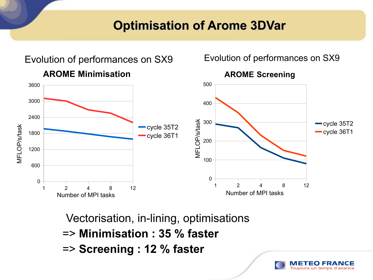#### **Optimisation of Arome 3DVar**



Toujours un temps d'avance

Vectorisation, in-lining, optimisations

- => **Minimisation : 35 % faster**
- => **Screening : 12 % faster**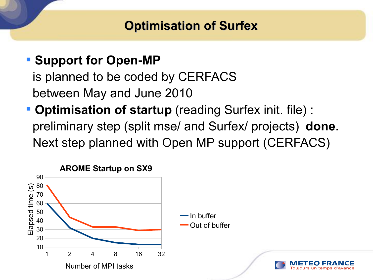#### **Optimisation of Surfex**

### **- Support for Open-MP**

is planned to be coded by CERFACS between May and June 2010

 **Optimisation of startup** (reading Surfex init. file) : preliminary step (split mse/ and Surfex/ projects) **done**. Next step planned with Open MP support (CERFACS)

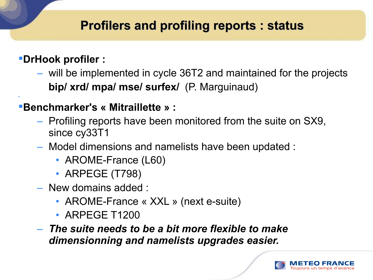#### **Profilers and profiling reports : status**

#### **DrHook profiler :**

٠

– will be implemented in cycle 36T2 and maintained for the projects **bip/ xrd/ mpa/ mse/ surfex/** (P. Marguinaud)

#### **Benchmarker's « Mitraillette » :**

- Profiling reports have been monitored from the suite on SX9, since cy33T1
- Model dimensions and namelists have been updated :
	- AROME-France (L60)
	- ARPEGE (T798)
- New domains added :
	- AROME-France « XXL » (next e-suite)
	- ARPEGE T1200
- *The suite needs to be a bit more flexible to make dimensionning and namelists upgrades easier.*

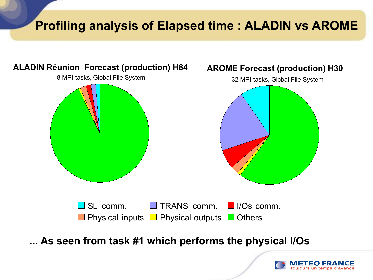## **Profiling analysis of Elapsed time : ALADIN vs AROME**



**... As seen from task #1 which performs the physical I/Os** 

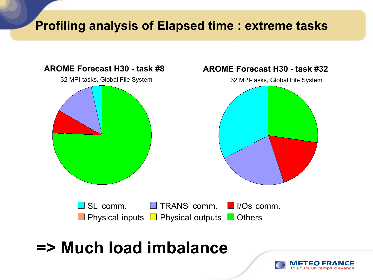### **Profiling analysis of Elapsed time : extreme tasks**



# **=> Much load imbalance**

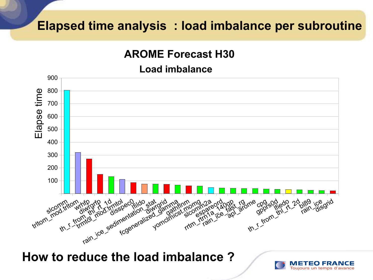#### **Elapsed time analysis : load imbalance per subroutine**

#### **AROME Forecast H30**

#### **Load imbalance**



**How to reduce the load imbalance ?**

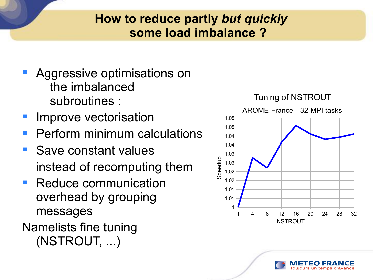#### **How to reduce partly** *but quickly* **some load imbalance ?**

- **Aggressive optimisations on** the imbalanced subroutines :
- Improve vectorisation
- Perform minimum calculations
- **Save constant values** instead of recomputing them
- Reduce communication overhead by grouping messages
- Namelists fine tuning (NSTROUT, ...)



Toujours un temps d'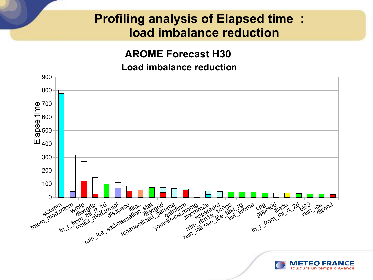#### **Profiling analysis of Elapsed time : load imbalance reduction**

#### **AROME Forecast H30**

#### **Load imbalance reduction**

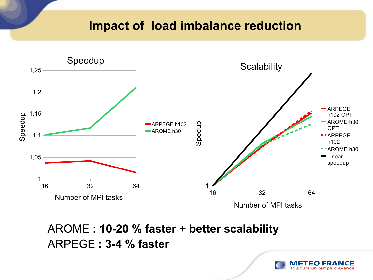#### **Impact of load imbalance reduction**



AROME **: 10-20 % faster + better scalability** ARPEGE **: 3-4 % faster**

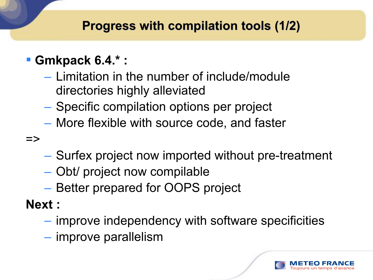### **Progress with compilation tools (1/2)**

- **Gmkpack 6.4.\* :**
	- Limitation in the number of include/module directories highly alleviated
	- Specific compilation options per project
	- More flexible with source code, and faster
- $\Rightarrow$
- Surfex project now imported without pre-treatment
- Obt/ project now compilable
- Better prepared for OOPS project
- **Next :**
	- improve independency with software specificities
	- improve parallelism

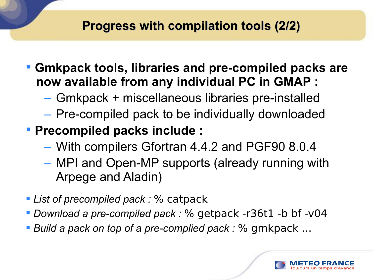#### **Progress with compilation tools (2/2)**

- **Gmkpack tools, libraries and pre-compiled packs are now available from any individual PC in GMAP :**
	- Gmkpack + miscellaneous libraries pre-installed
	- Pre-compiled pack to be individually downloaded
- **Precompiled packs include :**
	- With compilers Gfortran 4.4.2 and PGF90 8.0.4
	- MPI and Open-MP supports (already running with Arpege and Aladin)
- *List of precompiled pack :* % catpack
- *Download a pre-compiled pack :* % getpack -r36t1 -b bf -v04
- *Build a pack on top of a pre-complied pack :* % gmkpack ...

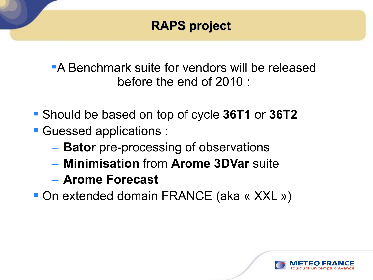### **RAPS project**

A Benchmark suite for vendors will be released before the end of 2010 :

- Should be based on top of cycle **36T1** or **36T2**
- Guessed applications :
	- $\overline{\phantom{a}}$ – **Bator** pre-processing of observations
	- **Minimisation** from **Arome 3DVar** suite
	- **Arome Forecast**
- On extended domain FRANCE (aka « XXL »)

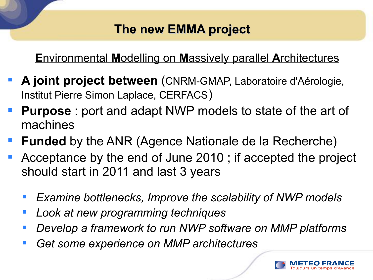### **The new EMMA project**

#### **E**nvironmental **M**odelling on **M**assively parallel **A**rchitectures

- **A joint project between** (CNRM-GMAP, Laboratoire d'Aérologie, Institut Pierre Simon Laplace, CERFACS)
- **Purpose** : port and adapt NWP models to state of the art of machines
- **Funded** by the ANR (Agence Nationale de la Recherche)
- Acceptance by the end of June 2010 ; if accepted the project should start in 2011 and last 3 years
	- *Examine bottlenecks, Improve the scalability of NWP models*
	- *Look at new programming techniques*
	- *Develop a framework to run NWP software on MMP platforms*
	- *Get some experience on MMP architectures*

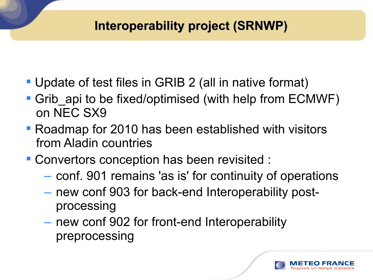### **Interoperability project (SRNWP)**

- Update of test files in GRIB 2 (all in native format)
- Grib api to be fixed/optimised (with help from ECMWF) on NEC SX9
- Roadmap for 2010 has been established with visitors from Aladin countries
- **Convertors conception has been revisited :** 
	- conf. 901 remains 'as is' for continuity of operations
	- new conf 903 for back-end Interoperability postprocessing
	- new conf 902 for front-end Interoperability preprocessing

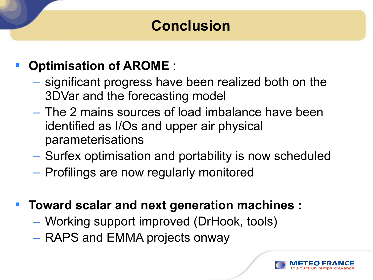# **Conclusion**

## **Optimisation of AROME** :

- significant progress have been realized both on the 3DVar and the forecasting model
- The 2 mains sources of load imbalance have been identified as I/Os and upper air physical parameterisations
- Surfex optimisation and portability is now scheduled
- Profilings are now regularly monitored
- **Toward scalar and next generation machines :**
	- Working support improved (DrHook, tools)
	- RAPS and EMMA projects onway

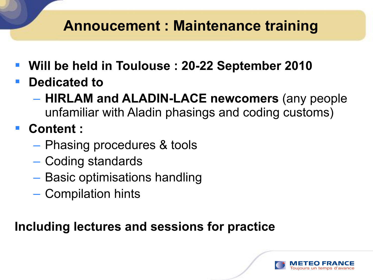# **Annoucement : Maintenance training**

- **Will be held in Toulouse : 20-22 September 2010**
- **Dedicated to** 
	- **HIRLAM and ALADIN-LACE newcomers** (any people unfamiliar with Aladin phasings and coding customs)
- **Content :** 
	- Phasing procedures & tools
	- Coding standards
	- Basic optimisations handling
	- Compilation hints

### **Including lectures and sessions for practice**